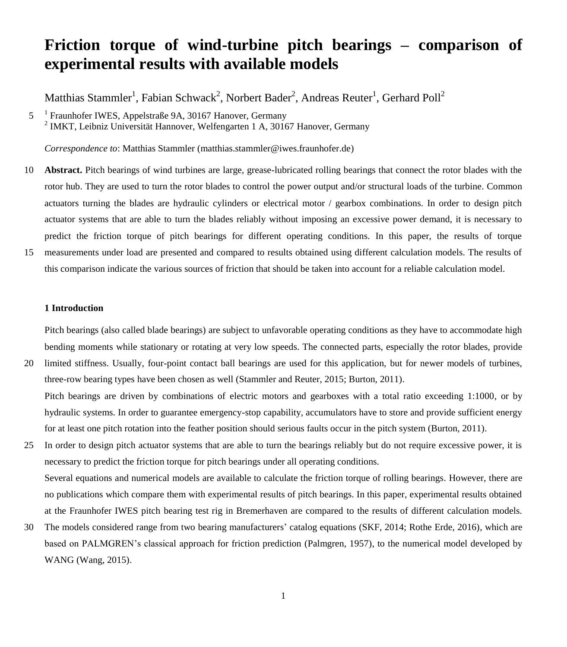# **Friction torque of wind-turbine pitch bearings – comparison of experimental results with available models**

Matthias Stammler<sup>1</sup>, Fabian Schwack<sup>2</sup>, Norbert Bader<sup>2</sup>, Andreas Reuter<sup>1</sup>, Gerhard Poll<sup>2</sup>

5<sup>1</sup> Fraunhofer IWES, Appelstraße 9A, 30167 Hanover, Germany <sup>2</sup> IMKT, Leibniz Universität Hannover, Welfengarten 1 A, 30167 Hanover, Germany

*Correspondence to*: Matthias Stammler (matthias.stammler@iwes.fraunhofer.de)

- 10 **Abstract.** Pitch bearings of wind turbines are large, grease-lubricated rolling bearings that connect the rotor blades with the rotor hub. They are used to turn the rotor blades to control the power output and/or structural loads of the turbine. Common actuators turning the blades are hydraulic cylinders or electrical motor / gearbox combinations. In order to design pitch actuator systems that are able to turn the blades reliably without imposing an excessive power demand, it is necessary to predict the friction torque of pitch bearings for different operating conditions. In this paper, the results of torque
- 15 measurements under load are presented and compared to results obtained using different calculation models. The results of this comparison indicate the various sources of friction that should be taken into account for a reliable calculation model.

# **1 Introduction**

Pitch bearings (also called blade bearings) are subject to unfavorable operating conditions as they have to accommodate high bending moments while stationary or rotating at very low speeds. The connected parts, especially the rotor blades, provide

- 20 limited stiffness. Usually, four-point contact ball bearings are used for this application, but for newer models of turbines, three-row bearing types have been chosen as well (Stammler and Reuter, 2015; Burton, 2011). Pitch bearings are driven by combinations of electric motors and gearboxes with a total ratio exceeding 1:1000, or by hydraulic systems. In order to guarantee emergency-stop capability, accumulators have to store and provide sufficient energy for at least one pitch rotation into the feather position should serious faults occur in the pitch system (Burton, 2011).
- 25 In order to design pitch actuator systems that are able to turn the bearings reliably but do not require excessive power, it is necessary to predict the friction torque for pitch bearings under all operating conditions. Several equations and numerical models are available to calculate the friction torque of rolling bearings. However, there are no publications which compare them with experimental results of pitch bearings. In this paper, experimental results obtained at the Fraunhofer IWES pitch bearing test rig in Bremerhaven are compared to the results of different calculation models.
- 30 The models considered range from two bearing manufacturers' catalog equations (SKF, 2014; Rothe Erde, 2016), which are based on PALMGREN's classical approach for friction prediction (Palmgren, 1957), to the numerical model developed by WANG (Wang, 2015).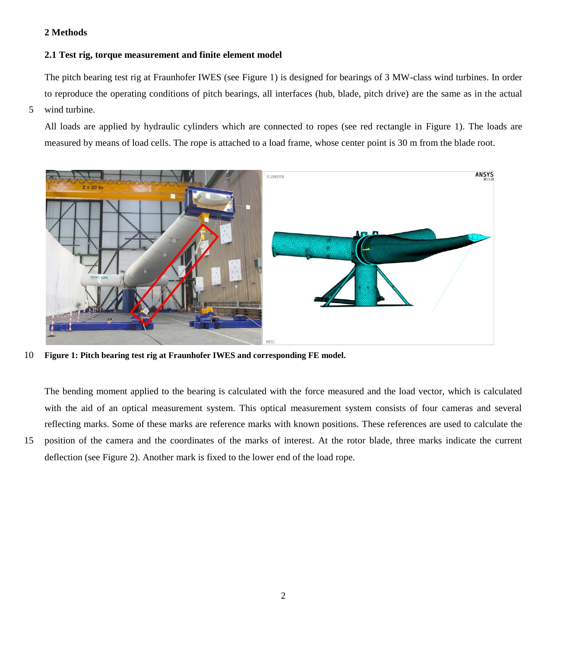# **2 Methods**

# **2.1 Test rig, torque measurement and finite element model**

The pitch bearing test rig at Fraunhofer IWES (see [Figure 1\)](#page-1-0) is designed for bearings of 3 MW-class wind turbines. In order to reproduce the operating conditions of pitch bearings, all interfaces (hub, blade, pitch drive) are the same as in the actual

5 wind turbine.

All loads are applied by hydraulic cylinders which are connected to ropes (see red rectangle in [Figure 1\)](#page-1-0). The loads are measured by means of load cells. The rope is attached to a load frame, whose center point is 30 m from the blade root.



10 **Figure 1: Pitch bearing test rig at Fraunhofer IWES and corresponding FE model.**

<span id="page-1-0"></span>The bending moment applied to the bearing is calculated with the force measured and the load vector, which is calculated with the aid of an optical measurement system. This optical measurement system consists of four cameras and several reflecting marks. Some of these marks are reference marks with known positions. These references are used to calculate the

15 position of the camera and the coordinates of the marks of interest. At the rotor blade, three marks indicate the current deflection (see [Figure 2\)](#page-2-0). Another mark is fixed to the lower end of the load rope.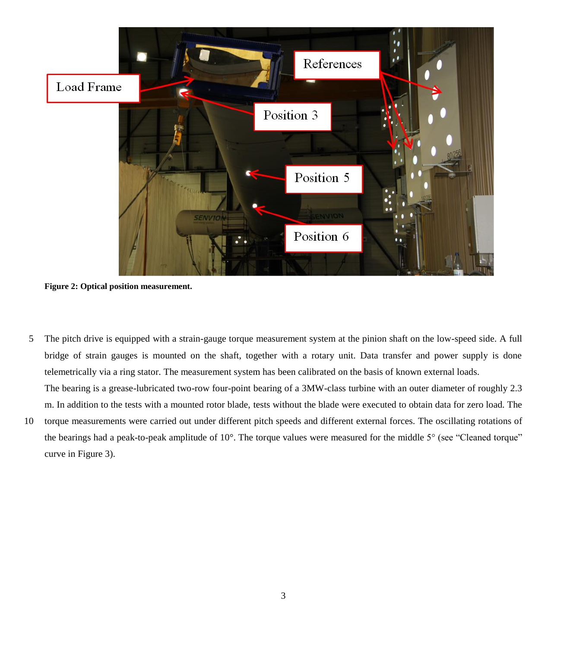

**Figure 2: Optical position measurement.**

- <span id="page-2-0"></span>5 The pitch drive is equipped with a strain-gauge torque measurement system at the pinion shaft on the low-speed side. A full bridge of strain gauges is mounted on the shaft, together with a rotary unit. Data transfer and power supply is done telemetrically via a ring stator. The measurement system has been calibrated on the basis of known external loads. The bearing is a grease-lubricated two-row four-point bearing of a 3MW-class turbine with an outer diameter of roughly 2.3 m. In addition to the tests with a mounted rotor blade, tests without the blade were executed to obtain data for zero load. The
- 10 torque measurements were carried out under different pitch speeds and different external forces. The oscillating rotations of the bearings had a peak-to-peak amplitude of 10°. The torque values were measured for the middle 5° (see "Cleaned torque" curve in [Figure 3\)](#page-3-0).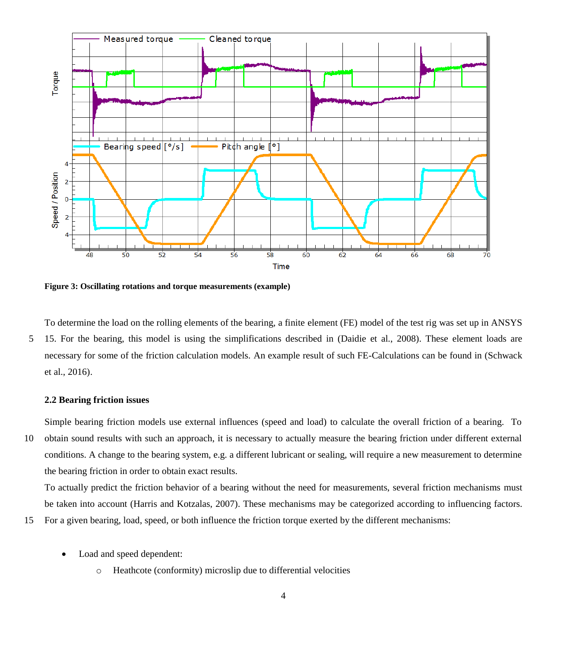

<span id="page-3-0"></span>**Figure 3: Oscillating rotations and torque measurements (example)**

To determine the load on the rolling elements of the bearing, a finite element (FE) model of the test rig was set up in ANSYS 5 15. For the bearing, this model is using the simplifications described in (Daidie et al., 2008). These element loads are necessary for some of the friction calculation models. An example result of such FE-Calculations can be found in (Schwack et al., 2016).

## **2.2 Bearing friction issues**

Simple bearing friction models use external influences (speed and load) to calculate the overall friction of a bearing. To 10 obtain sound results with such an approach, it is necessary to actually measure the bearing friction under different external conditions. A change to the bearing system, e.g. a different lubricant or sealing, will require a new measurement to determine the bearing friction in order to obtain exact results.

To actually predict the friction behavior of a bearing without the need for measurements, several friction mechanisms must be taken into account (Harris and Kotzalas, 2007). These mechanisms may be categorized according to influencing factors.

15 For a given bearing, load, speed, or both influence the friction torque exerted by the different mechanisms:

- Load and speed dependent:
	- o Heathcote (conformity) microslip due to differential velocities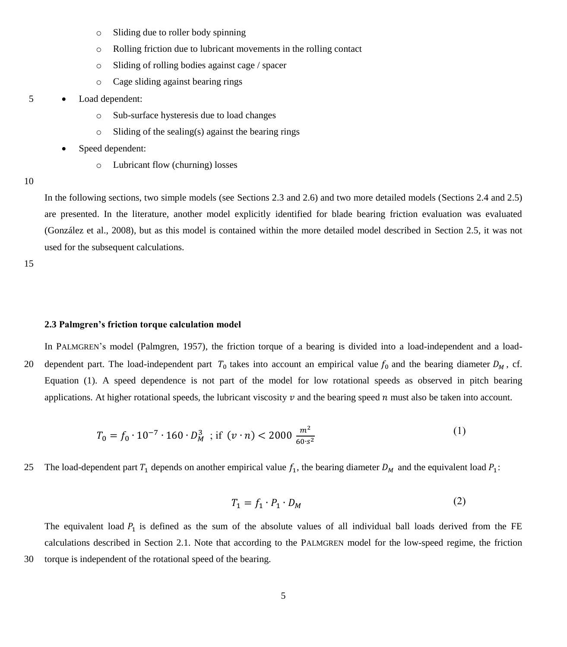- o Sliding due to roller body spinning
- o Rolling friction due to lubricant movements in the rolling contact
- o Sliding of rolling bodies against cage / spacer
- o Cage sliding against bearing rings

#### 5 Load dependent:

- o Sub-surface hysteresis due to load changes
- o Sliding of the sealing(s) against the bearing rings
- Speed dependent:
	- o Lubricant flow (churning) losses

#### 10

In the following sections, two simple models (see Sections 2.3 and 2.6) and two more detailed models (Sections 2.4 and 2.5) are presented. In the literature, another model explicitly identified for blade bearing friction evaluation was evaluated (González et al., 2008), but as this model is contained within the more detailed model described in Section 2.5, it was not used for the subsequent calculations.

15

#### **2.3 Palmgren's friction torque calculation model**

In PALMGREN's model (Palmgren, 1957), the friction torque of a bearing is divided into a load-independent and a load-20 dependent part. The load-independent part  $T_0$  takes into account an empirical value  $f_0$  and the bearing diameter  $D_M$ , cf. Equation [\(1\)](#page-4-0). A speed dependence is not part of the model for low rotational speeds as observed in pitch bearing applications. At higher rotational speeds, the lubricant viscosity  $\nu$  and the bearing speed  $n$  must also be taken into account.

$$
T_0 = f_0 \cdot 10^{-7} \cdot 160 \cdot D_M^3 \quad \text{if} \quad (v \cdot n) < 2000 \, \frac{m^2}{60 \cdot s^2} \tag{1}
$$

25 The load-dependent part  $T_1$  depends on another empirical value  $f_1$ , the bearing diameter  $D_M$  and the equivalent load  $P_1$ :

<span id="page-4-0"></span>
$$
T_1 = f_1 \cdot P_1 \cdot D_M \tag{2}
$$

The equivalent load  $P_1$  is defined as the sum of the absolute values of all individual ball loads derived from the FE calculations described in Section 2.1. Note that according to the PALMGREN model for the low-speed regime, the friction 30 torque is independent of the rotational speed of the bearing.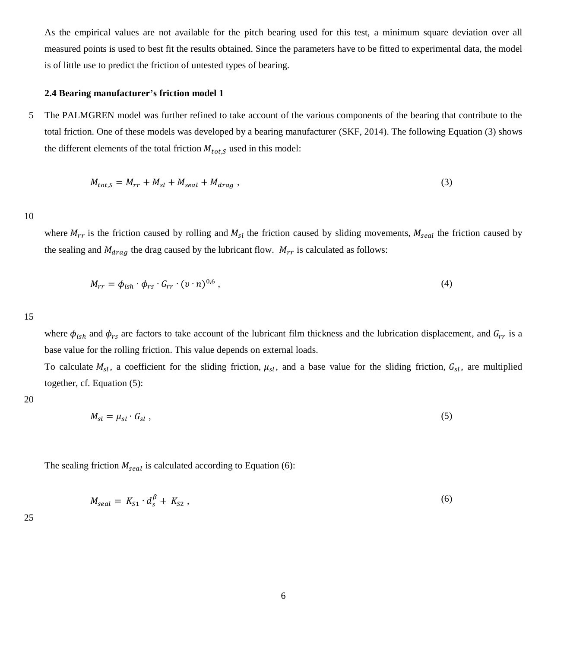As the empirical values are not available for the pitch bearing used for this test, a minimum square deviation over all measured points is used to best fit the results obtained. Since the parameters have to be fitted to experimental data, the model is of little use to predict the friction of untested types of bearing.

# **2.4 Bearing manufacturer's friction model 1**

5 The PALMGREN model was further refined to take account of the various components of the bearing that contribute to the total friction. One of these models was developed by a bearing manufacturer (SKF, 2014). The following Equation [\(3\)](#page-5-0) shows the different elements of the total friction  $M_{tot,S}$  used in this model:

<span id="page-5-0"></span>
$$
M_{tot,S} = M_{rr} + M_{sl} + M_{seal} + M_{drag} ,
$$
\n(3)

10

where  $M_{rr}$  is the friction caused by rolling and  $M_{sl}$  the friction caused by sliding movements,  $M_{seal}$  the friction caused by the sealing and  $M_{drag}$  the drag caused by the lubricant flow.  $M_{rr}$  is calculated as follows:

$$
M_{rr} = \phi_{ish} \cdot \phi_{rs} \cdot G_{rr} \cdot (v \cdot n)^{0.6}, \qquad (4)
$$

15

where  $\phi_{ish}$  and  $\phi_{rs}$  are factors to take account of the lubricant film thickness and the lubrication displacement, and  $G_{rr}$  is a base value for the rolling friction. This value depends on external loads.

To calculate  $M_{sl}$ , a coefficient for the sliding friction,  $\mu_{sl}$ , and a base value for the sliding friction,  $G_{sl}$ , are multiplied together, cf. Equation [\(5\)](#page-5-1):

20

<span id="page-5-1"></span>
$$
M_{sl} = \mu_{sl} \cdot G_{sl} \tag{5}
$$

The sealing friction  $M_{\text{seal}}$  is calculated according to Equation [\(6\)](#page-5-2):

<span id="page-5-2"></span>
$$
M_{seal} = K_{S1} \cdot d_s^{\beta} + K_{S2} \,, \tag{6}
$$

25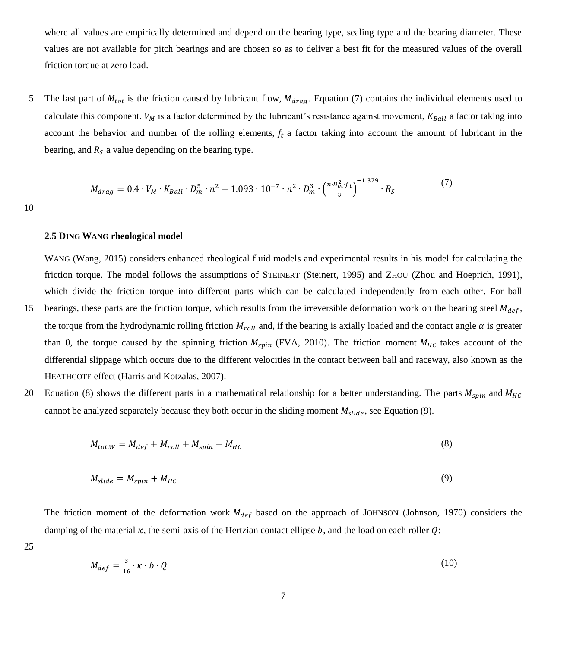where all values are empirically determined and depend on the bearing type, sealing type and the bearing diameter. These values are not available for pitch bearings and are chosen so as to deliver a best fit for the measured values of the overall friction torque at zero load.

5 The last part of  $M_{tot}$  is the friction caused by lubricant flow,  $M_{drag}$ . Equation [\(7\)](#page-6-0) contains the individual elements used to calculate this component.  $V_M$  is a factor determined by the lubricant's resistance against movement,  $K_{Ball}$  a factor taking into account the behavior and number of the rolling elements,  $f_t$  a factor taking into account the amount of lubricant in the bearing, and  $R<sub>S</sub>$  a value depending on the bearing type.

<span id="page-6-0"></span>
$$
M_{drag} = 0.4 \cdot V_M \cdot K_{Ball} \cdot D_m^5 \cdot n^2 + 1.093 \cdot 10^{-7} \cdot n^2 \cdot D_m^3 \cdot \left(\frac{n \cdot D_m^2 \cdot f_t}{v}\right)^{-1.379} \cdot R_S \tag{7}
$$

10

# **2.5 DING WANG rheological model**

WANG (Wang, 2015) considers enhanced rheological fluid models and experimental results in his model for calculating the friction torque. The model follows the assumptions of STEINERT (Steinert, 1995) and ZHOU (Zhou and Hoeprich, 1991), which divide the friction torque into different parts which can be calculated independently from each other. For ball

- 15 bearings, these parts are the friction torque, which results from the irreversible deformation work on the bearing steel  $M_{def}$ , the torque from the hydrodynamic rolling friction  $M_{roll}$  and, if the bearing is axially loaded and the contact angle  $\alpha$  is greater than 0, the torque caused by the spinning friction  $M_{spin}$  (FVA, 2010). The friction moment  $M_{HC}$  takes account of the differential slippage which occurs due to the different velocities in the contact between ball and raceway, also known as the HEATHCOTE effect (Harris and Kotzalas, 2007).
- 20 Equation (8) shows the different parts in a mathematical relationship for a better understanding. The parts  $M_{spin}$  and  $M_{HC}$ cannot be analyzed separately because they both occur in the sliding moment  $M_{\text{slide}}$ , see Equation (9).

$$
M_{tot,W} = M_{def} + M_{roll} + M_{spin} + M_{HC}
$$
\n(8)

$$
M_{\text{slide}} = M_{\text{spin}} + M_{\text{HC}} \tag{9}
$$

The friction moment of the deformation work  $M_{def}$  based on the approach of JOHNSON (Johnson, 1970) considers the damping of the material  $\kappa$ , the semi-axis of the Hertzian contact ellipse  $b$ , and the load on each roller  $\theta$ :

25

$$
M_{def} = \frac{3}{16} \cdot \kappa \cdot b \cdot Q \tag{10}
$$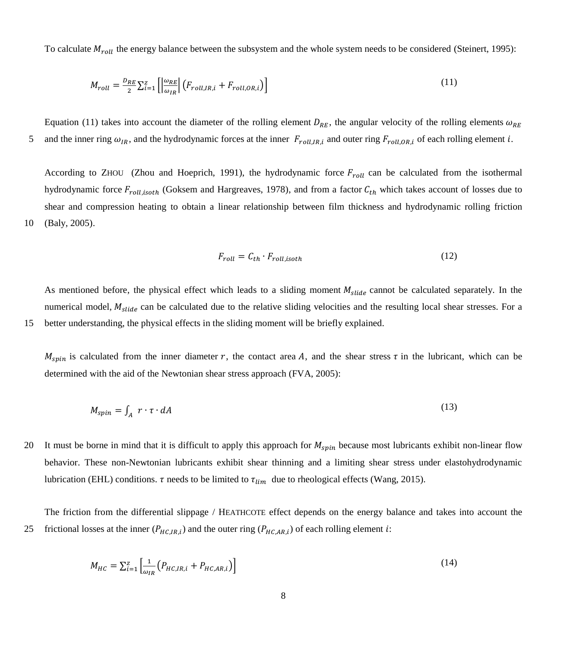To calculate  $M_{roll}$  the energy balance between the subsystem and the whole system needs to be considered (Steinert, 1995):

$$
M_{roll} = \frac{D_{RE}}{2} \sum_{i=1}^{Z} \left[ \left| \frac{\omega_{RE}}{\omega_{IR}} \right| \left( F_{roll,IR,i} + F_{roll,OR,i} \right) \right]
$$
 (11)

Equation [\(11\)](#page-7-0) takes into account the diameter of the rolling element  $D_{RE}$ , the angular velocity of the rolling elements  $\omega_{RE}$ 5 and the inner ring  $\omega_{IR}$ , and the hydrodynamic forces at the inner  $F_{roll,IR,i}$  and outer ring  $F_{roll,OR,i}$  of each rolling element i.

According to ZHOU (Zhou and Hoeprich, 1991), the hydrodynamic force  $F_{roll}$  can be calculated from the isothermal hydrodynamic force  $F_{roll, isoth}$  (Goksem and Hargreaves, 1978), and from a factor  $C_{th}$  which takes account of losses due to shear and compression heating to obtain a linear relationship between film thickness and hydrodynamic rolling friction 10 (Baly, 2005).

<span id="page-7-0"></span>
$$
F_{roll} = C_{th} \cdot F_{roll, isoth} \tag{12}
$$

As mentioned before, the physical effect which leads to a sliding moment  $M_{\text{slide}}$  cannot be calculated separately. In the numerical model,  $M_{\text{slide}}$  can be calculated due to the relative sliding velocities and the resulting local shear stresses. For a 15 better understanding, the physical effects in the sliding moment will be briefly explained.

 $M_{spin}$  is calculated from the inner diameter r, the contact area A, and the shear stress  $\tau$  in the lubricant, which can be determined with the aid of the Newtonian shear stress approach (FVA, 2005):

$$
M_{spin} = \int_{A} r \cdot \tau \cdot dA \tag{13}
$$

20 It must be borne in mind that it is difficult to apply this approach for  $M_{spin}$  because most lubricants exhibit non-linear flow behavior. These non-Newtonian lubricants exhibit shear thinning and a limiting shear stress under elastohydrodynamic lubrication (EHL) conditions.  $\tau$  needs to be limited to  $\tau_{lim}$  due to rheological effects (Wang, 2015).

The friction from the differential slippage / HEATHCOTE effect depends on the energy balance and takes into account the 25 frictional losses at the inner  $(P_{HC,IR,i})$  and the outer ring  $(P_{HC,AR,i})$  of each rolling element *i*:

$$
M_{HC} = \sum_{i=1}^{Z} \left[ \frac{1}{\omega_{IR}} \left( P_{HC,IR,i} + P_{HC,AR,i} \right) \right]
$$
 (14)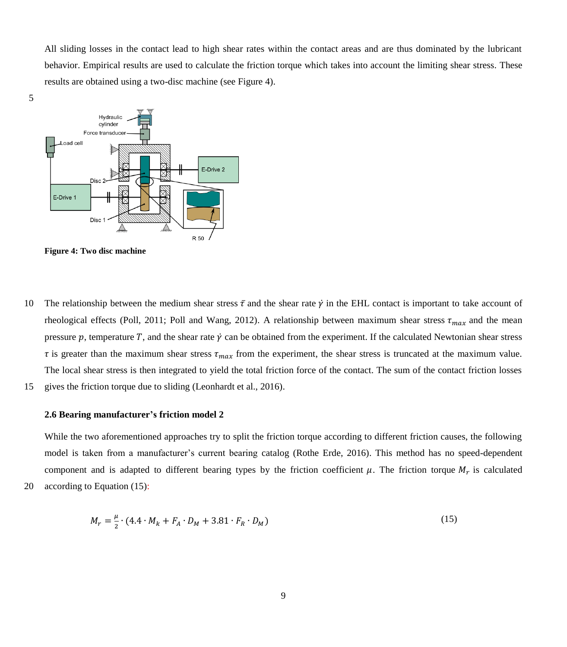All sliding losses in the contact lead to high shear rates within the contact areas and are thus dominated by the lubricant behavior. Empirical results are used to calculate the friction torque which takes into account the limiting shear stress. These results are obtained using a two-disc machine (see [Figure 4\)](#page-8-0).





<span id="page-8-0"></span>**Figure 4: Two disc machine**

- 10 The relationship between the medium shear stress  $\bar{\tau}$  and the shear rate  $\dot{\gamma}$  in the EHL contact is important to take account of rheological effects (Poll, 2011; Poll and Wang, 2012). A relationship between maximum shear stress  $\tau_{max}$  and the mean pressure  $p$ , temperature  $T$ , and the shear rate  $\dot{y}$  can be obtained from the experiment. If the calculated Newtonian shear stress  $\tau$  is greater than the maximum shear stress  $\tau_{max}$  from the experiment, the shear stress is truncated at the maximum value. The local shear stress is then integrated to yield the total friction force of the contact. The sum of the contact friction losses
- 15 gives the friction torque due to sliding (Leonhardt et al., 2016).

## **2.6 Bearing manufacturer's friction model 2**

While the two aforementioned approaches try to split the friction torque according to different friction causes, the following model is taken from a manufacturer's current bearing catalog (Rothe Erde, 2016). This method has no speed-dependent component and is adapted to different bearing types by the friction coefficient  $\mu$ . The friction torque  $M_r$  is calculated

20 according to Equation 
$$
(15)
$$
:

<span id="page-8-1"></span>
$$
M_r = \frac{\mu}{2} \cdot (4.4 \cdot M_k + F_A \cdot D_M + 3.81 \cdot F_R \cdot D_M)
$$
 (15)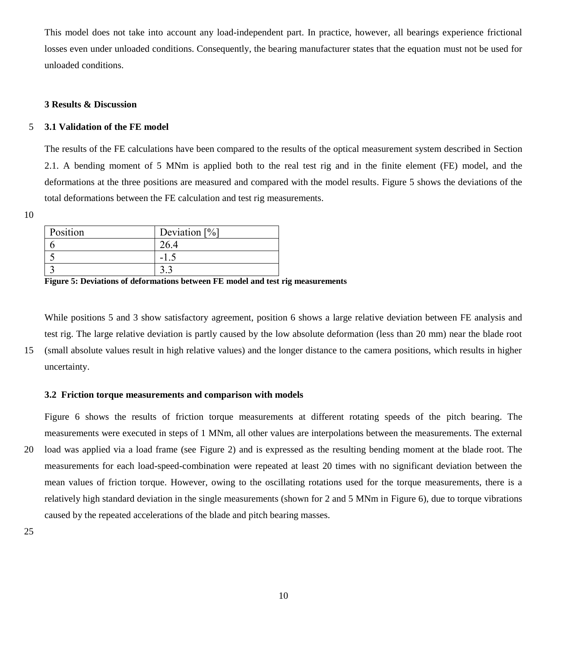This model does not take into account any load-independent part. In practice, however, all bearings experience frictional losses even under unloaded conditions. Consequently, the bearing manufacturer states that the equation must not be used for unloaded conditions.

# **3 Results & Discussion**

# 5 **3.1 Validation of the FE model**

The results of the FE calculations have been compared to the results of the optical measurement system described in Section 2.1. A bending moment of 5 MNm is applied both to the real test rig and in the finite element (FE) model, and the deformations at the three positions are measured and compared with the model results. [Figure 5](#page-9-0) shows the deviations of the total deformations between the FE calculation and test rig measurements.

10

| Position | Deviation $[\%]$ |
|----------|------------------|
|          |                  |
|          | - 1              |
|          |                  |

<span id="page-9-0"></span>**Figure 5: Deviations of deformations between FE model and test rig measurements**

While positions 5 and 3 show satisfactory agreement, position 6 shows a large relative deviation between FE analysis and test rig. The large relative deviation is partly caused by the low absolute deformation (less than 20 mm) near the blade root 15 (small absolute values result in high relative values) and the longer distance to the camera positions, which results in higher uncertainty.

## **3.2 Friction torque measurements and comparison with models**

[Figure 6](#page-10-0) shows the results of friction torque measurements at different rotating speeds of the pitch bearing. The measurements were executed in steps of 1 MNm, all other values are interpolations between the measurements. The external 20 load was applied via a load frame (see [Figure 2\)](#page-2-0) and is expressed as the resulting bending moment at the blade root. The measurements for each load-speed-combination were repeated at least 20 times with no significant deviation between the mean values of friction torque. However, owing to the oscillating rotations used for the torque measurements, there is a relatively high standard deviation in the single measurements (shown for 2 and 5 MNm in [Figure 6\)](#page-10-0), due to torque vibrations caused by the repeated accelerations of the blade and pitch bearing masses.

25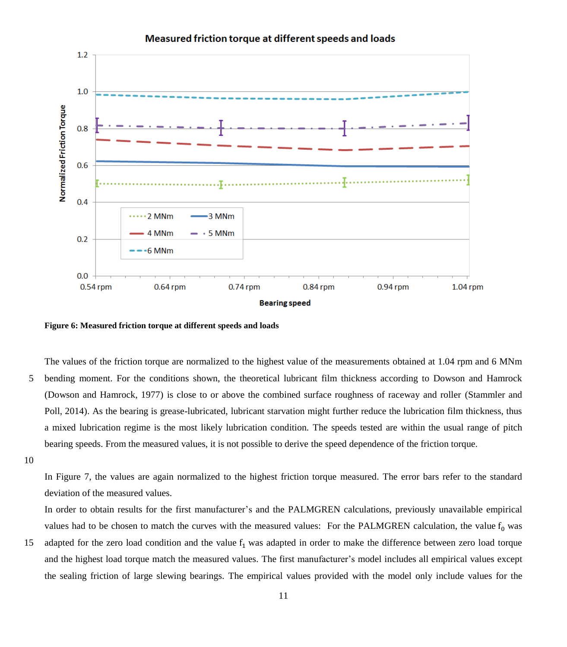

# Measured friction torque at different speeds and loads

<span id="page-10-0"></span>**Figure 6: Measured friction torque at different speeds and loads**

The values of the friction torque are normalized to the highest value of the measurements obtained at 1.04 rpm and 6 MNm 5 bending moment. For the conditions shown, the theoretical lubricant film thickness according to Dowson and Hamrock (Dowson and Hamrock, 1977) is close to or above the combined surface roughness of raceway and roller (Stammler and Poll, 2014). As the bearing is grease-lubricated, lubricant starvation might further reduce the lubrication film thickness, thus a mixed lubrication regime is the most likely lubrication condition. The speeds tested are within the usual range of pitch bearing speeds. From the measured values, it is not possible to derive the speed dependence of the friction torque.

10

In [Figure 7,](#page-11-0) the values are again normalized to the highest friction torque measured. The error bars refer to the standard deviation of the measured values.

In order to obtain results for the first manufacturer's and the PALMGREN calculations, previously unavailable empirical values had to be chosen to match the curves with the measured values: For the PALMGREN calculation, the value  $f_0$  was

15 adapted for the zero load condition and the value  $f_1$  was adapted in order to make the difference between zero load torque and the highest load torque match the measured values. The first manufacturer's model includes all empirical values except the sealing friction of large slewing bearings. The empirical values provided with the model only include values for the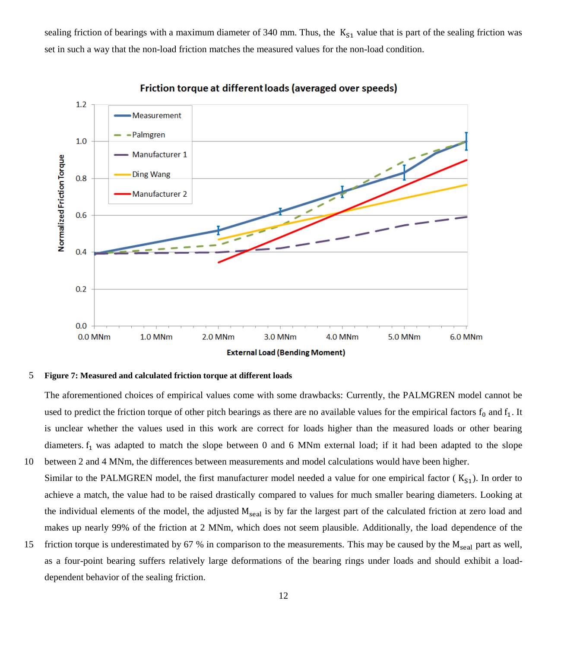sealing friction of bearings with a maximum diameter of 340 mm. Thus, the  $K_{S1}$  value that is part of the sealing friction was set in such a way that the non-load friction matches the measured values for the non-load condition.



Friction torque at different loads (averaged over speeds)

#### <span id="page-11-0"></span>5 **Figure 7: Measured and calculated friction torque at different loads**

The aforementioned choices of empirical values come with some drawbacks: Currently, the PALMGREN model cannot be used to predict the friction torque of other pitch bearings as there are no available values for the empirical factors  $f_0$  and  $f_1$ . It is unclear whether the values used in this work are correct for loads higher than the measured loads or other bearing diameters.  $f_1$  was adapted to match the slope between 0 and 6 MNm external load; if it had been adapted to the slope 10 between 2 and 4 MNm, the differences between measurements and model calculations would have been higher.

- Similar to the PALMGREN model, the first manufacturer model needed a value for one empirical factor ( $K_{S1}$ ). In order to achieve a match, the value had to be raised drastically compared to values for much smaller bearing diameters. Looking at the individual elements of the model, the adjusted  $M_{\text{seal}}$  is by far the largest part of the calculated friction at zero load and makes up nearly 99% of the friction at 2 MNm, which does not seem plausible. Additionally, the load dependence of the
- 15 friction torque is underestimated by 67 % in comparison to the measurements. This may be caused by the  $M_{\text{seal}}$  part as well, as a four-point bearing suffers relatively large deformations of the bearing rings under loads and should exhibit a loaddependent behavior of the sealing friction.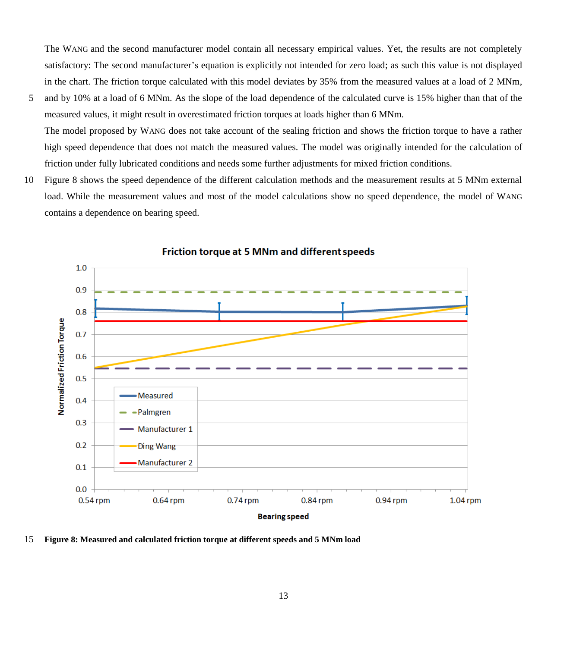The WANG and the second manufacturer model contain all necessary empirical values. Yet, the results are not completely satisfactory: The second manufacturer's equation is explicitly not intended for zero load; as such this value is not displayed in the chart. The friction torque calculated with this model deviates by 35% from the measured values at a load of 2 MNm,

- 5 and by 10% at a load of 6 MNm. As the slope of the load dependence of the calculated curve is 15% higher than that of the measured values, it might result in overestimated friction torques at loads higher than 6 MNm. The model proposed by WANG does not take account of the sealing friction and shows the friction torque to have a rather high speed dependence that does not match the measured values. The model was originally intended for the calculation of
- 10 [Figure 8](#page-12-0) shows the speed dependence of the different calculation methods and the measurement results at 5 MNm external load. While the measurement values and most of the model calculations show no speed dependence, the model of WANG contains a dependence on bearing speed.

friction under fully lubricated conditions and needs some further adjustments for mixed friction conditions.



Friction torque at 5 MNm and different speeds

<span id="page-12-0"></span>15 **Figure 8: Measured and calculated friction torque at different speeds and 5 MNm load**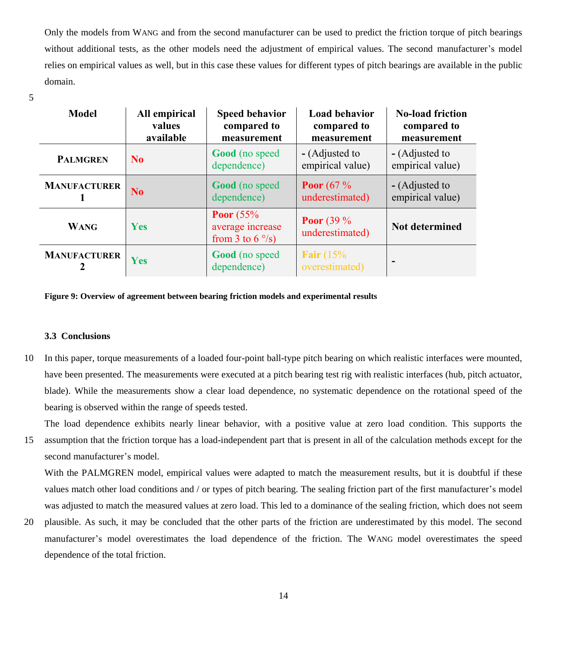Only the models from WANG and from the second manufacturer can be used to predict the friction torque of pitch bearings without additional tests, as the other models need the adjustment of empirical values. The second manufacturer's model relies on empirical values as well, but in this case these values for different types of pitch bearings are available in the public domain.

5

| <b>Model</b>        | All empirical<br>values<br>available | <b>Speed behavior</b><br>compared to<br>measurement          | <b>Load behavior</b><br>compared to<br>measurement | <b>No-load friction</b><br>compared to<br>measurement |
|---------------------|--------------------------------------|--------------------------------------------------------------|----------------------------------------------------|-------------------------------------------------------|
| <b>PALMGREN</b>     | N <sub>0</sub>                       | <b>Good</b> (no speed<br>dependence)                         | - (Adjusted to<br>empirical value)                 | - (Adjusted to<br>empirical value)                    |
| <b>MANUFACTURER</b> | N <sub>o</sub>                       | <b>Good</b> (no speed<br>dependence)                         | <b>Poor</b> (67 $\%$<br>underestimated)            | - (Adjusted to<br>empirical value)                    |
| <b>WANG</b>         | <b>Yes</b>                           | Poor $(55%$<br>average increase<br>from 3 to $6^{\circ}/s$ ) | <b>Poor</b> (39 $\%$<br>underestimated)            | <b>Not determined</b>                                 |
| <b>MANUFACTURER</b> | Yes                                  | <b>Good</b> (no speed<br>dependence)                         | Fair $(15%$<br>overestimated)                      | -                                                     |

#### **Figure 9: Overview of agreement between bearing friction models and experimental results**

#### **3.3 Conclusions**

10 In this paper, torque measurements of a loaded four-point ball-type pitch bearing on which realistic interfaces were mounted, have been presented. The measurements were executed at a pitch bearing test rig with realistic interfaces (hub, pitch actuator, blade). While the measurements show a clear load dependence, no systematic dependence on the rotational speed of the bearing is observed within the range of speeds tested.

The load dependence exhibits nearly linear behavior, with a positive value at zero load condition. This supports the

15 assumption that the friction torque has a load-independent part that is present in all of the calculation methods except for the second manufacturer's model.

With the PALMGREN model, empirical values were adapted to match the measurement results, but it is doubtful if these values match other load conditions and / or types of pitch bearing. The sealing friction part of the first manufacturer's model was adjusted to match the measured values at zero load. This led to a dominance of the sealing friction, which does not seem

20 plausible. As such, it may be concluded that the other parts of the friction are underestimated by this model. The second manufacturer's model overestimates the load dependence of the friction. The WANG model overestimates the speed dependence of the total friction.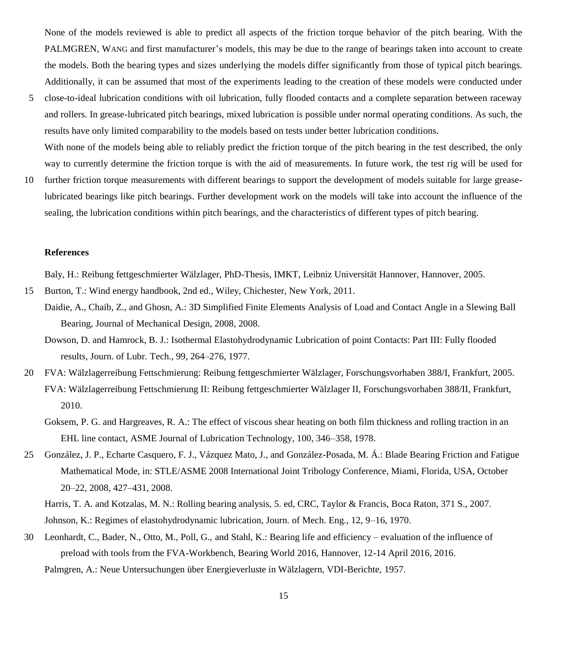None of the models reviewed is able to predict all aspects of the friction torque behavior of the pitch bearing. With the PALMGREN, WANG and first manufacturer's models, this may be due to the range of bearings taken into account to create the models. Both the bearing types and sizes underlying the models differ significantly from those of typical pitch bearings. Additionally, it can be assumed that most of the experiments leading to the creation of these models were conducted under

- 5 close-to-ideal lubrication conditions with oil lubrication, fully flooded contacts and a complete separation between raceway and rollers. In grease-lubricated pitch bearings, mixed lubrication is possible under normal operating conditions. As such, the results have only limited comparability to the models based on tests under better lubrication conditions. With none of the models being able to reliably predict the friction torque of the pitch bearing in the test described, the only
- way to currently determine the friction torque is with the aid of measurements. In future work, the test rig will be used for 10 further friction torque measurements with different bearings to support the development of models suitable for large greaselubricated bearings like pitch bearings. Further development work on the models will take into account the influence of the sealing, the lubrication conditions within pitch bearings, and the characteristics of different types of pitch bearing.

#### **References**

Baly, H.: Reibung fettgeschmierter Wälzlager, PhD-Thesis, IMKT, Leibniz Universität Hannover, Hannover, 2005.

- 15 Burton, T.: Wind energy handbook, 2nd ed., Wiley, Chichester, New York, 2011.
	- Daidie, A., Chaib, Z., and Ghosn, A.: 3D Simplified Finite Elements Analysis of Load and Contact Angle in a Slewing Ball Bearing, Journal of Mechanical Design, 2008, 2008.
		- Dowson, D. and Hamrock, B. J.: Isothermal Elastohydrodynamic Lubrication of point Contacts: Part III: Fully flooded results, Journ. of Lubr. Tech., 99, 264–276, 1977.
- 20 FVA: Wälzlagerreibung Fettschmierung: Reibung fettgeschmierter Wälzlager, Forschungsvorhaben 388/I, Frankfurt, 2005. FVA: Wälzlagerreibung Fettschmierung II: Reibung fettgeschmierter Wälzlager II, Forschungsvorhaben 388/II, Frankfurt, 2010.
	- Goksem, P. G. and Hargreaves, R. A.: The effect of viscous shear heating on both film thickness and rolling traction in an EHL line contact, ASME Journal of Lubrication Technology, 100, 346–358, 1978.
- 25 González, J. P., Echarte Casquero, F. J., Vázquez Mato, J., and González-Posada, M. Á.: Blade Bearing Friction and Fatigue Mathematical Mode, in: STLE/ASME 2008 International Joint Tribology Conference, Miami, Florida, USA, October 20–22, 2008, 427–431, 2008.

Harris, T. A. and Kotzalas, M. N.: Rolling bearing analysis, 5. ed, CRC, Taylor & Francis, Boca Raton, 371 S., 2007. Johnson, K.: Regimes of elastohydrodynamic lubrication, Journ. of Mech. Eng., 12, 9–16, 1970.

30 Leonhardt, C., Bader, N., Otto, M., Poll, G., and Stahl, K.: Bearing life and efficiency – evaluation of the influence of preload with tools from the FVA-Workbench, Bearing World 2016, Hannover, 12-14 April 2016, 2016. Palmgren, A.: Neue Untersuchungen über Energieverluste in Wälzlagern, VDI-Berichte, 1957.